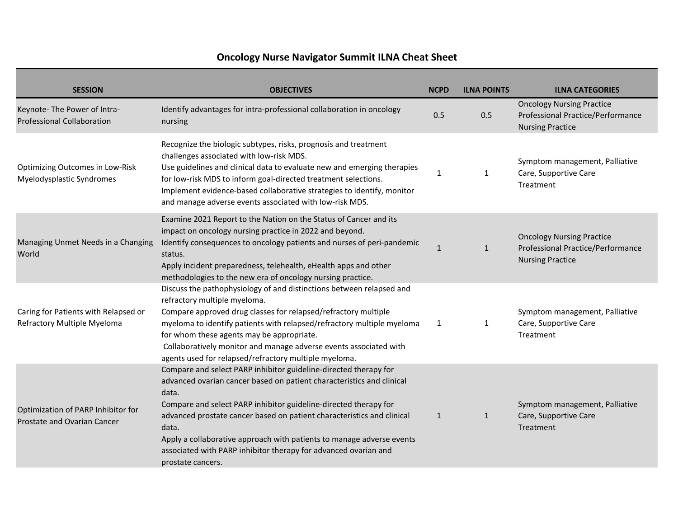## **Oncology Nurse Navigator Summit ILNA Cheat Sheet**

| <b>SESSION</b>                                                      | <b>OBJECTIVES</b>                                                                                                                                                                                                                                                                                                                                                                                                                                                          | <b>NCPD</b>  | <b>ILNA POINTS</b> | <b>ILNA CATEGORIES</b>                                                                           |
|---------------------------------------------------------------------|----------------------------------------------------------------------------------------------------------------------------------------------------------------------------------------------------------------------------------------------------------------------------------------------------------------------------------------------------------------------------------------------------------------------------------------------------------------------------|--------------|--------------------|--------------------------------------------------------------------------------------------------|
| Keynote-The Power of Intra-<br><b>Professional Collaboration</b>    | Identify advantages for intra-professional collaboration in oncology<br>nursing                                                                                                                                                                                                                                                                                                                                                                                            | 0.5          | 0.5                | <b>Oncology Nursing Practice</b><br>Professional Practice/Performance<br><b>Nursing Practice</b> |
| <b>Optimizing Outcomes in Low-Risk</b><br>Myelodysplastic Syndromes | Recognize the biologic subtypes, risks, prognosis and treatment<br>challenges associated with low-risk MDS.<br>Use guidelines and clinical data to evaluate new and emerging therapies<br>for low-risk MDS to inform goal-directed treatment selections.<br>Implement evidence-based collaborative strategies to identify, monitor<br>and manage adverse events associated with low-risk MDS.                                                                              | $\mathbf{1}$ | 1                  | Symptom management, Palliative<br>Care, Supportive Care<br>Treatment                             |
| Managing Unmet Needs in a Changing<br>World                         | Examine 2021 Report to the Nation on the Status of Cancer and its<br>impact on oncology nursing practice in 2022 and beyond.<br>Identify consequences to oncology patients and nurses of peri-pandemic<br>status.<br>Apply incident preparedness, telehealth, eHealth apps and other<br>methodologies to the new era of oncology nursing practice.                                                                                                                         | $\mathbf{1}$ | $\mathbf{1}$       | <b>Oncology Nursing Practice</b><br>Professional Practice/Performance<br><b>Nursing Practice</b> |
| Caring for Patients with Relapsed or<br>Refractory Multiple Myeloma | Discuss the pathophysiology of and distinctions between relapsed and<br>refractory multiple myeloma.<br>Compare approved drug classes for relapsed/refractory multiple<br>myeloma to identify patients with relapsed/refractory multiple myeloma<br>for whom these agents may be appropriate.<br>Collaboratively monitor and manage adverse events associated with<br>agents used for relapsed/refractory multiple myeloma.                                                | 1            | 1                  | Symptom management, Palliative<br>Care, Supportive Care<br>Treatment                             |
| Optimization of PARP Inhibitor for<br>Prostate and Ovarian Cancer   | Compare and select PARP inhibitor guideline-directed therapy for<br>advanced ovarian cancer based on patient characteristics and clinical<br>data.<br>Compare and select PARP inhibitor guideline-directed therapy for<br>advanced prostate cancer based on patient characteristics and clinical<br>data.<br>Apply a collaborative approach with patients to manage adverse events<br>associated with PARP inhibitor therapy for advanced ovarian and<br>prostate cancers. | $\mathbf{1}$ | 1                  | Symptom management, Palliative<br>Care, Supportive Care<br>Treatment                             |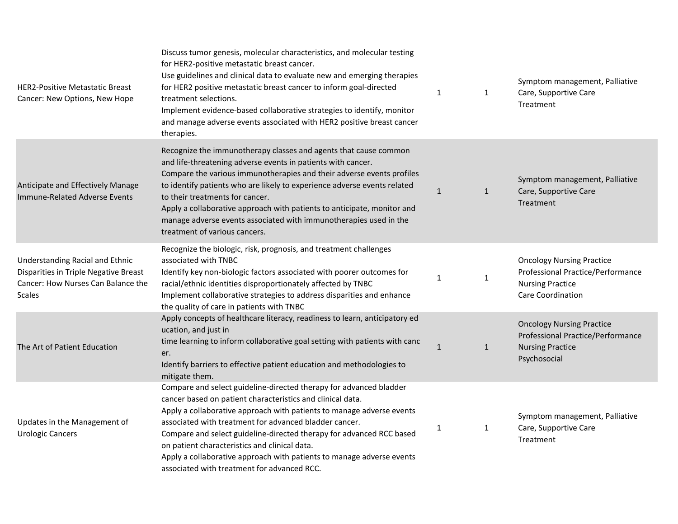| <b>HER2-Positive Metastatic Breast</b><br>Cancer: New Options, New Hope                                                  | Discuss tumor genesis, molecular characteristics, and molecular testing<br>for HER2-positive metastatic breast cancer.<br>Use guidelines and clinical data to evaluate new and emerging therapies<br>for HER2 positive metastatic breast cancer to inform goal-directed<br>treatment selections.<br>Implement evidence-based collaborative strategies to identify, monitor<br>and manage adverse events associated with HER2 positive breast cancer<br>therapies.                                                    | $\mathbf{1}$ | $\mathbf{1}$ | Symptom management, Palliative<br>Care, Supportive Care<br>Treatment                                                  |
|--------------------------------------------------------------------------------------------------------------------------|----------------------------------------------------------------------------------------------------------------------------------------------------------------------------------------------------------------------------------------------------------------------------------------------------------------------------------------------------------------------------------------------------------------------------------------------------------------------------------------------------------------------|--------------|--------------|-----------------------------------------------------------------------------------------------------------------------|
| Anticipate and Effectively Manage<br>Immune-Related Adverse Events                                                       | Recognize the immunotherapy classes and agents that cause common<br>and life-threatening adverse events in patients with cancer.<br>Compare the various immunotherapies and their adverse events profiles<br>to identify patients who are likely to experience adverse events related<br>to their treatments for cancer.<br>Apply a collaborative approach with patients to anticipate, monitor and<br>manage adverse events associated with immunotherapies used in the<br>treatment of various cancers.            | $\mathbf{1}$ | $\mathbf{1}$ | Symptom management, Palliative<br>Care, Supportive Care<br>Treatment                                                  |
| Understanding Racial and Ethnic<br>Disparities in Triple Negative Breast<br>Cancer: How Nurses Can Balance the<br>Scales | Recognize the biologic, risk, prognosis, and treatment challenges<br>associated with TNBC<br>Identify key non-biologic factors associated with poorer outcomes for<br>racial/ethnic identities disproportionately affected by TNBC<br>Implement collaborative strategies to address disparities and enhance<br>the quality of care in patients with TNBC                                                                                                                                                             | $\mathbf{1}$ | 1            | <b>Oncology Nursing Practice</b><br>Professional Practice/Performance<br><b>Nursing Practice</b><br>Care Coordination |
| The Art of Patient Education                                                                                             | Apply concepts of healthcare literacy, readiness to learn, anticipatory ed<br>ucation, and just in<br>time learning to inform collaborative goal setting with patients with canc<br>er.<br>Identify barriers to effective patient education and methodologies to<br>mitigate them.                                                                                                                                                                                                                                   | $\mathbf{1}$ | $\mathbf{1}$ | <b>Oncology Nursing Practice</b><br>Professional Practice/Performance<br><b>Nursing Practice</b><br>Psychosocial      |
| Updates in the Management of<br><b>Urologic Cancers</b>                                                                  | Compare and select guideline-directed therapy for advanced bladder<br>cancer based on patient characteristics and clinical data.<br>Apply a collaborative approach with patients to manage adverse events<br>associated with treatment for advanced bladder cancer.<br>Compare and select guideline-directed therapy for advanced RCC based<br>on patient characteristics and clinical data.<br>Apply a collaborative approach with patients to manage adverse events<br>associated with treatment for advanced RCC. | $\mathbf{1}$ | $\mathbf{1}$ | Symptom management, Palliative<br>Care, Supportive Care<br>Treatment                                                  |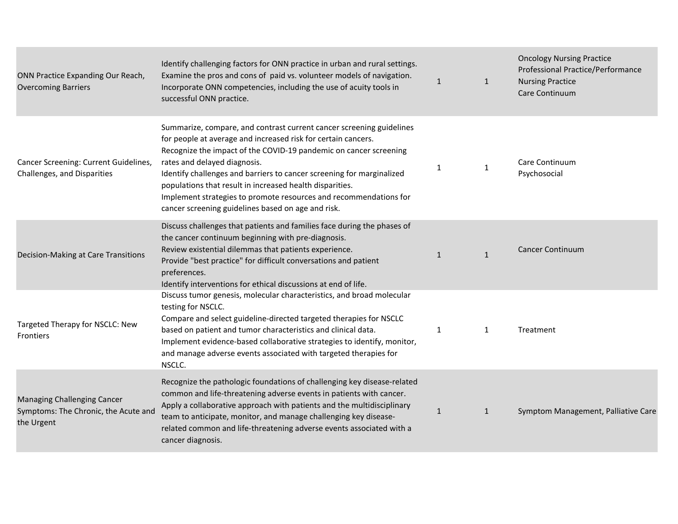| ONN Practice Expanding Our Reach,<br><b>Overcoming Barriers</b>                          | Identify challenging factors for ONN practice in urban and rural settings.<br>Examine the pros and cons of paid vs. volunteer models of navigation.<br>Incorporate ONN competencies, including the use of acuity tools in<br>successful ONN practice.                                                                                                                                                                                                                                                      | $\mathbf{1}$ | $\mathbf{1}$ | <b>Oncology Nursing Practice</b><br>Professional Practice/Performance<br><b>Nursing Practice</b><br>Care Continuum |
|------------------------------------------------------------------------------------------|------------------------------------------------------------------------------------------------------------------------------------------------------------------------------------------------------------------------------------------------------------------------------------------------------------------------------------------------------------------------------------------------------------------------------------------------------------------------------------------------------------|--------------|--------------|--------------------------------------------------------------------------------------------------------------------|
| Cancer Screening: Current Guidelines,<br>Challenges, and Disparities                     | Summarize, compare, and contrast current cancer screening guidelines<br>for people at average and increased risk for certain cancers.<br>Recognize the impact of the COVID-19 pandemic on cancer screening<br>rates and delayed diagnosis.<br>Identify challenges and barriers to cancer screening for marginalized<br>populations that result in increased health disparities.<br>Implement strategies to promote resources and recommendations for<br>cancer screening guidelines based on age and risk. | 1            | $\mathbf{1}$ | Care Continuum<br>Psychosocial                                                                                     |
| Decision-Making at Care Transitions                                                      | Discuss challenges that patients and families face during the phases of<br>the cancer continuum beginning with pre-diagnosis.<br>Review existential dilemmas that patients experience.<br>Provide "best practice" for difficult conversations and patient<br>preferences.<br>Identify interventions for ethical discussions at end of life.                                                                                                                                                                | $\mathbf{1}$ | $\mathbf{1}$ | <b>Cancer Continuum</b>                                                                                            |
| Targeted Therapy for NSCLC: New<br><b>Frontiers</b>                                      | Discuss tumor genesis, molecular characteristics, and broad molecular<br>testing for NSCLC.<br>Compare and select guideline-directed targeted therapies for NSCLC<br>based on patient and tumor characteristics and clinical data.<br>Implement evidence-based collaborative strategies to identify, monitor,<br>and manage adverse events associated with targeted therapies for<br>NSCLC.                                                                                                                | 1            | 1            | Treatment                                                                                                          |
| <b>Managing Challenging Cancer</b><br>Symptoms: The Chronic, the Acute and<br>the Urgent | Recognize the pathologic foundations of challenging key disease-related<br>common and life-threatening adverse events in patients with cancer.<br>Apply a collaborative approach with patients and the multidisciplinary<br>team to anticipate, monitor, and manage challenging key disease-<br>related common and life-threatening adverse events associated with a<br>cancer diagnosis.                                                                                                                  | $\mathbf{1}$ | $\mathbf{1}$ | Symptom Management, Palliative Care                                                                                |